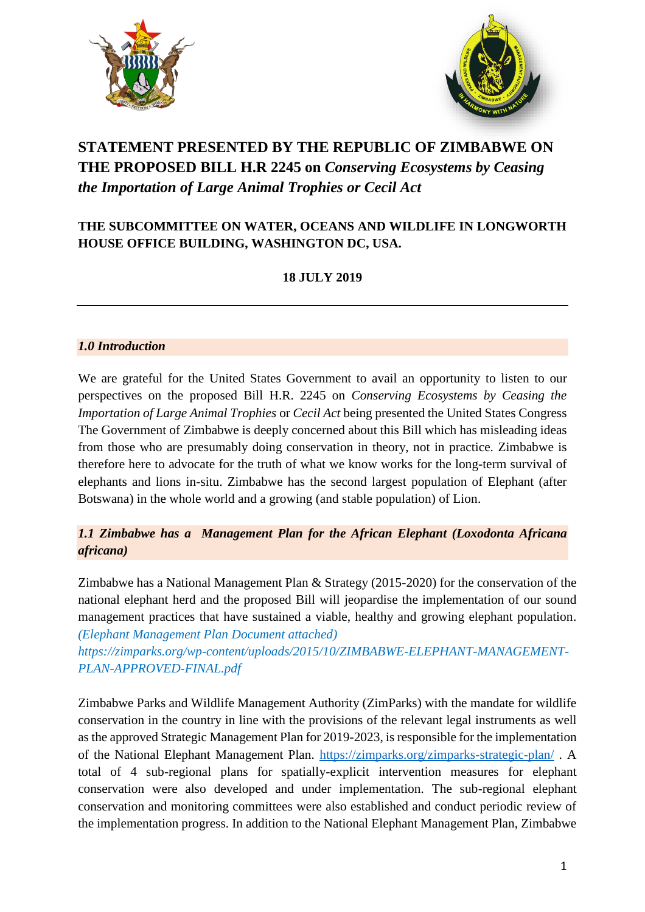



# **STATEMENT PRESENTED BY THE REPUBLIC OF ZIMBABWE ON THE PROPOSED BILL H.R 2245 on** *Conserving Ecosystems by Ceasing the Importation of Large Animal Trophies or Cecil Act*

# **THE SUBCOMMITTEE ON WATER, OCEANS AND WILDLIFE IN LONGWORTH HOUSE OFFICE BUILDING, WASHINGTON DC, USA.**

# **18 JULY 2019**

## *1.0 Introduction*

We are grateful for the United States Government to avail an opportunity to listen to our perspectives on the proposed Bill H.R. 2245 on *Conserving Ecosystems by Ceasing the Importation of Large Animal Trophies* or *Cecil Act* being presented the United States Congress The Government of Zimbabwe is deeply concerned about this Bill which has misleading ideas from those who are presumably doing conservation in theory, not in practice. Zimbabwe is therefore here to advocate for the truth of what we know works for the long-term survival of elephants and lions in-situ. Zimbabwe has the second largest population of Elephant (after Botswana) in the whole world and a growing (and stable population) of Lion.

# *1.1 Zimbabwe has a Management Plan for the African Elephant (Loxodonta Africana africana)*

Zimbabwe has a National Management Plan & Strategy (2015-2020) for the conservation of the national elephant herd and the proposed Bill will jeopardise the implementation of our sound management practices that have sustained a viable, healthy and growing elephant population. *(Elephant Management Plan Document attached)*

*https://zimparks.org/wp-content/uploads/2015/10/ZIMBABWE-ELEPHANT-MANAGEMENT-PLAN-APPROVED-FINAL.pdf*

Zimbabwe Parks and Wildlife Management Authority (ZimParks) with the mandate for wildlife conservation in the country in line with the provisions of the relevant legal instruments as well as the approved Strategic Management Plan for 2019-2023, is responsible for the implementation of the National Elephant Management Plan.<https://zimparks.org/zimparks-strategic-plan/> . A total of 4 sub-regional plans for spatially-explicit intervention measures for elephant conservation were also developed and under implementation. The sub-regional elephant conservation and monitoring committees were also established and conduct periodic review of the implementation progress. In addition to the National Elephant Management Plan, Zimbabwe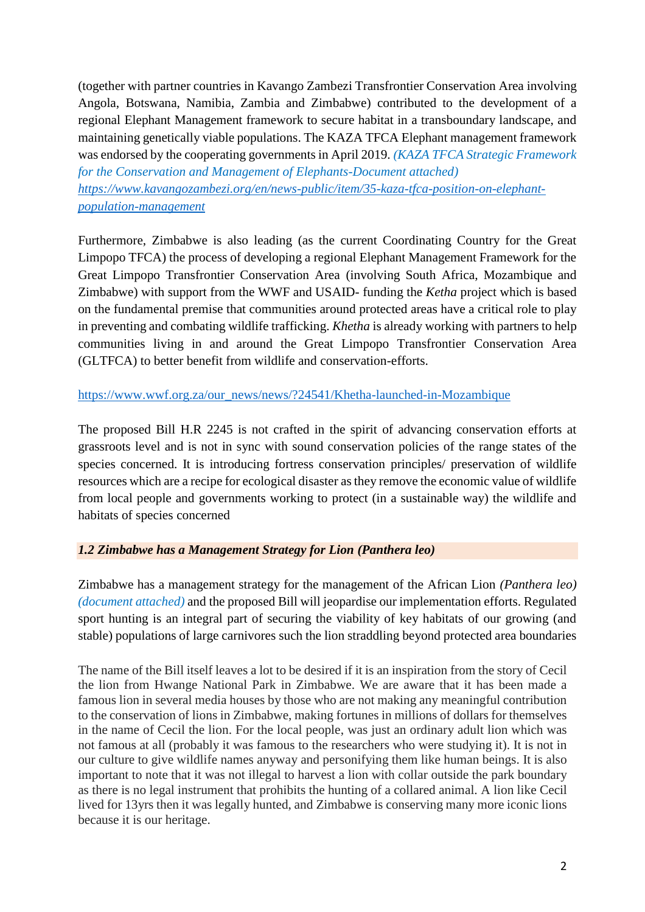(together with partner countries in Kavango Zambezi Transfrontier Conservation Area involving Angola, Botswana, Namibia, Zambia and Zimbabwe) contributed to the development of a regional Elephant Management framework to secure habitat in a transboundary landscape, and maintaining genetically viable populations. The KAZA TFCA Elephant management framework was endorsed by the cooperating governments in April 2019. *(KAZA TFCA Strategic Framework* 

*for the Conservation and Management of Elephants-Document attached) [https://www.kavangozambezi.org/en/news-public/item/35-kaza-tfca-position-on-elephant](https://www.kavangozambezi.org/en/news-public/item/35-kaza-tfca-position-on-elephant-population-management)[population-management](https://www.kavangozambezi.org/en/news-public/item/35-kaza-tfca-position-on-elephant-population-management)*

Furthermore, Zimbabwe is also leading (as the current Coordinating Country for the Great Limpopo TFCA) the process of developing a regional Elephant Management Framework for the Great Limpopo Transfrontier Conservation Area (involving South Africa, Mozambique and Zimbabwe) with support from the WWF and USAID- funding the *Ketha* project which is based on the fundamental premise that communities around protected areas have a critical role to play in preventing and combating wildlife trafficking. *Khetha* is already working with partners to help communities living in and around the Great Limpopo Transfrontier Conservation Area (GLTFCA) to better benefit from wildlife and conservation-efforts.

[https://www.wwf.org.za/our\\_news/news/?24541/Khetha-launched-in-Mozambique](https://www.wwf.org.za/our_news/news/?24541/Khetha-launched-in-Mozambique)

The proposed Bill H.R 2245 is not crafted in the spirit of advancing conservation efforts at grassroots level and is not in sync with sound conservation policies of the range states of the species concerned. It is introducing fortress conservation principles/ preservation of wildlife resources which are a recipe for ecological disaster as they remove the economic value of wildlife from local people and governments working to protect (in a sustainable way) the wildlife and habitats of species concerned

### *1.2 Zimbabwe has a Management Strategy for Lion (Panthera leo)*

Zimbabwe has a management strategy for the management of the African Lion *(Panthera leo) (document attached)* and the proposed Bill will jeopardise our implementation efforts. Regulated sport hunting is an integral part of securing the viability of key habitats of our growing (and stable) populations of large carnivores such the lion straddling beyond protected area boundaries

The name of the Bill itself leaves a lot to be desired if it is an inspiration from the story of Cecil the lion from Hwange National Park in Zimbabwe. We are aware that it has been made a famous lion in several media houses by those who are not making any meaningful contribution to the conservation of lions in Zimbabwe, making fortunes in millions of dollars for themselves in the name of Cecil the lion. For the local people, was just an ordinary adult lion which was not famous at all (probably it was famous to the researchers who were studying it). It is not in our culture to give wildlife names anyway and personifying them like human beings. It is also important to note that it was not illegal to harvest a lion with collar outside the park boundary as there is no legal instrument that prohibits the hunting of a collared animal. A lion like Cecil lived for 13yrs then it was legally hunted, and Zimbabwe is conserving many more iconic lions because it is our heritage.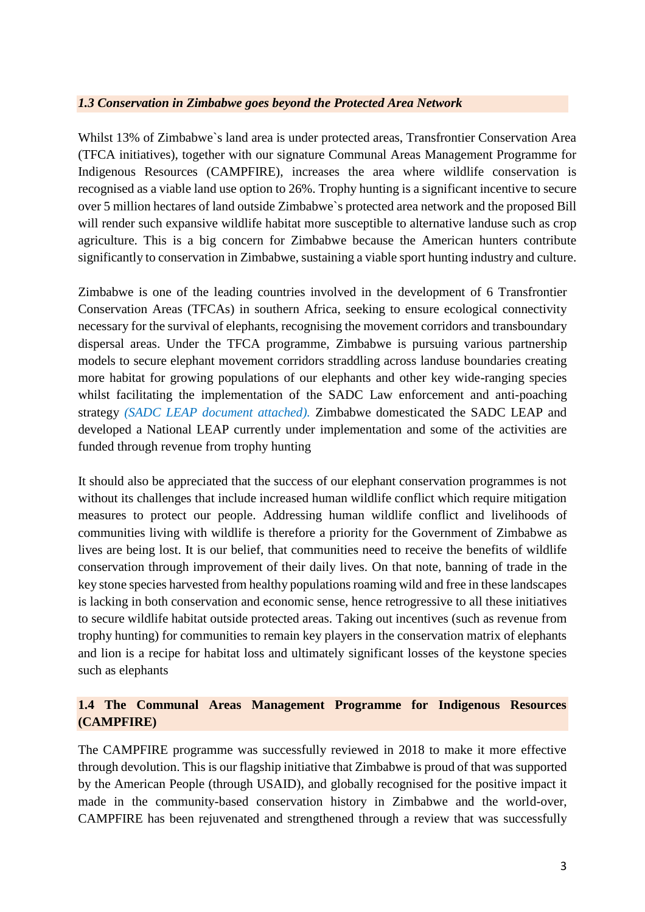#### *1.3 Conservation in Zimbabwe goes beyond the Protected Area Network*

Whilst 13% of Zimbabwe`s land area is under protected areas, Transfrontier Conservation Area (TFCA initiatives), together with our signature Communal Areas Management Programme for Indigenous Resources (CAMPFIRE), increases the area where wildlife conservation is recognised as a viable land use option to 26%. Trophy hunting is a significant incentive to secure over 5 million hectares of land outside Zimbabwe`s protected area network and the proposed Bill will render such expansive wildlife habitat more susceptible to alternative landuse such as crop agriculture. This is a big concern for Zimbabwe because the American hunters contribute significantly to conservation in Zimbabwe, sustaining a viable sport hunting industry and culture.

Zimbabwe is one of the leading countries involved in the development of 6 Transfrontier Conservation Areas (TFCAs) in southern Africa, seeking to ensure ecological connectivity necessary for the survival of elephants, recognising the movement corridors and transboundary dispersal areas. Under the TFCA programme, Zimbabwe is pursuing various partnership models to secure elephant movement corridors straddling across landuse boundaries creating more habitat for growing populations of our elephants and other key wide-ranging species whilst facilitating the implementation of the SADC Law enforcement and anti-poaching strategy *(SADC LEAP document attached).* Zimbabwe domesticated the SADC LEAP and developed a National LEAP currently under implementation and some of the activities are funded through revenue from trophy hunting

It should also be appreciated that the success of our elephant conservation programmes is not without its challenges that include increased human wildlife conflict which require mitigation measures to protect our people. Addressing human wildlife conflict and livelihoods of communities living with wildlife is therefore a priority for the Government of Zimbabwe as lives are being lost. It is our belief, that communities need to receive the benefits of wildlife conservation through improvement of their daily lives. On that note, banning of trade in the key stone species harvested from healthy populations roaming wild and free in these landscapes is lacking in both conservation and economic sense, hence retrogressive to all these initiatives to secure wildlife habitat outside protected areas. Taking out incentives (such as revenue from trophy hunting) for communities to remain key players in the conservation matrix of elephants and lion is a recipe for habitat loss and ultimately significant losses of the keystone species such as elephants

# **1.4 The Communal Areas Management Programme for Indigenous Resources (CAMPFIRE)**

The CAMPFIRE programme was successfully reviewed in 2018 to make it more effective through devolution. This is our flagship initiative that Zimbabwe is proud of that was supported by the American People (through USAID), and globally recognised for the positive impact it made in the community-based conservation history in Zimbabwe and the world-over, CAMPFIRE has been rejuvenated and strengthened through a review that was successfully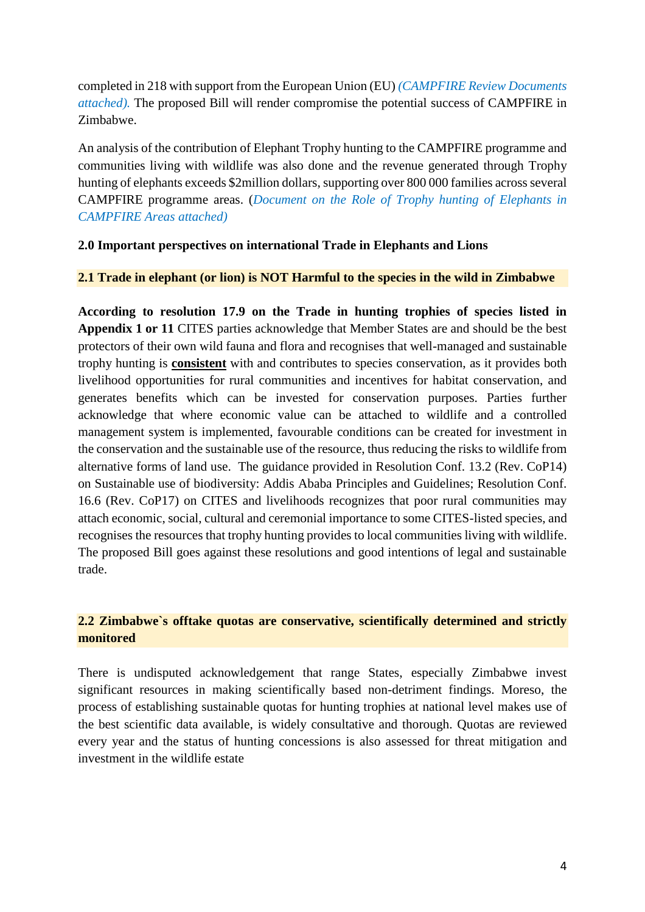completed in 218 with support from the European Union (EU) *(CAMPFIRE Review Documents attached).* The proposed Bill will render compromise the potential success of CAMPFIRE in Zimbabwe.

An analysis of the contribution of Elephant Trophy hunting to the CAMPFIRE programme and communities living with wildlife was also done and the revenue generated through Trophy hunting of elephants exceeds \$2million dollars, supporting over 800 000 families across several CAMPFIRE programme areas. (*Document on the Role of Trophy hunting of Elephants in CAMPFIRE Areas attached)*

#### **2.0 Important perspectives on international Trade in Elephants and Lions**

#### **2.1 Trade in elephant (or lion) is NOT Harmful to the species in the wild in Zimbabwe**

**According to resolution 17.9 on the Trade in hunting trophies of species listed in Appendix 1 or 11** CITES parties acknowledge that Member States are and should be the best protectors of their own wild fauna and flora and recognises that well-managed and sustainable trophy hunting is **consistent** with and contributes to species conservation, as it provides both livelihood opportunities for rural communities and incentives for habitat conservation, and generates benefits which can be invested for conservation purposes. Parties further acknowledge that where economic value can be attached to wildlife and a controlled management system is implemented, favourable conditions can be created for investment in the conservation and the sustainable use of the resource, thus reducing the risks to wildlife from alternative forms of land use. The guidance provided in Resolution Conf. 13.2 (Rev. CoP14) on Sustainable use of biodiversity: Addis Ababa Principles and Guidelines; Resolution Conf. 16.6 (Rev. CoP17) on CITES and livelihoods recognizes that poor rural communities may attach economic, social, cultural and ceremonial importance to some CITES-listed species, and recognises the resources that trophy hunting provides to local communities living with wildlife. The proposed Bill goes against these resolutions and good intentions of legal and sustainable trade.

## **2.2 Zimbabwe`s offtake quotas are conservative, scientifically determined and strictly monitored**

There is undisputed acknowledgement that range States, especially Zimbabwe invest significant resources in making scientifically based non-detriment findings. Moreso, the process of establishing sustainable quotas for hunting trophies at national level makes use of the best scientific data available, is widely consultative and thorough. Quotas are reviewed every year and the status of hunting concessions is also assessed for threat mitigation and investment in the wildlife estate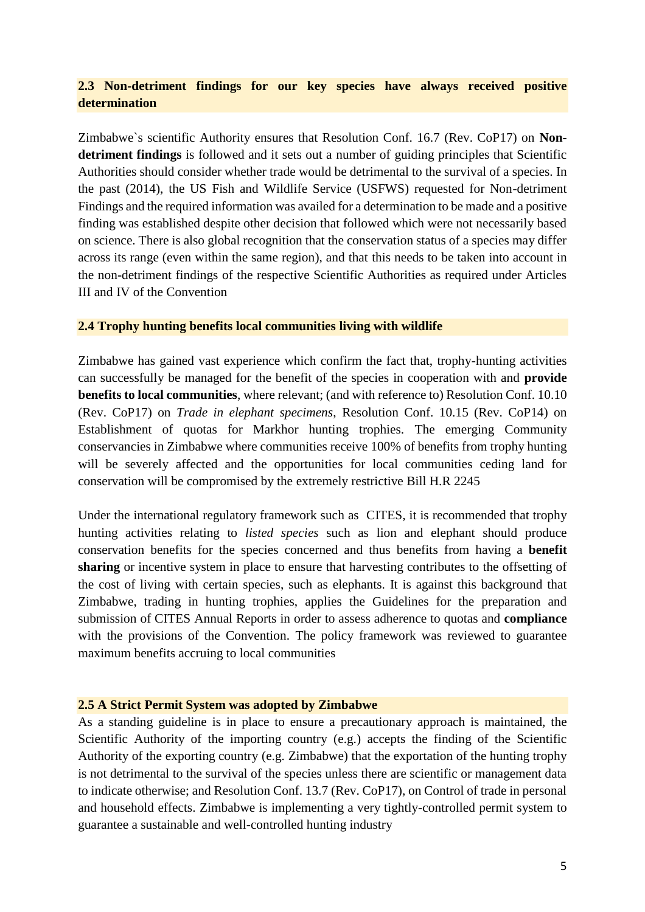# **2.3 Non-detriment findings for our key species have always received positive determination**

Zimbabwe`s scientific Authority ensures that Resolution Conf. 16.7 (Rev. CoP17) on **Nondetriment findings** is followed and it sets out a number of guiding principles that Scientific Authorities should consider whether trade would be detrimental to the survival of a species. In the past (2014), the US Fish and Wildlife Service (USFWS) requested for Non-detriment Findings and the required information was availed for a determination to be made and a positive finding was established despite other decision that followed which were not necessarily based on science. There is also global recognition that the conservation status of a species may differ across its range (even within the same region), and that this needs to be taken into account in the non-detriment findings of the respective Scientific Authorities as required under Articles III and IV of the Convention

#### **2.4 Trophy hunting benefits local communities living with wildlife**

Zimbabwe has gained vast experience which confirm the fact that, trophy-hunting activities can successfully be managed for the benefit of the species in cooperation with and **provide benefits to local communities**, where relevant; (and with reference to) Resolution Conf. 10.10 (Rev. CoP17) on *Trade in elephant specimens*, Resolution Conf. 10.15 (Rev. CoP14) on Establishment of quotas for Markhor hunting trophies. The emerging Community conservancies in Zimbabwe where communities receive 100% of benefits from trophy hunting will be severely affected and the opportunities for local communities ceding land for conservation will be compromised by the extremely restrictive Bill H.R 2245

Under the international regulatory framework such as CITES, it is recommended that trophy hunting activities relating to *listed species* such as lion and elephant should produce conservation benefits for the species concerned and thus benefits from having a **benefit sharing** or incentive system in place to ensure that harvesting contributes to the offsetting of the cost of living with certain species, such as elephants. It is against this background that Zimbabwe, trading in hunting trophies, applies the Guidelines for the preparation and submission of CITES Annual Reports in order to assess adherence to quotas and **compliance**  with the provisions of the Convention. The policy framework was reviewed to guarantee maximum benefits accruing to local communities

#### **2.5 A Strict Permit System was adopted by Zimbabwe**

As a standing guideline is in place to ensure a precautionary approach is maintained, the Scientific Authority of the importing country (e.g.) accepts the finding of the Scientific Authority of the exporting country (e.g. Zimbabwe) that the exportation of the hunting trophy is not detrimental to the survival of the species unless there are scientific or management data to indicate otherwise; and Resolution Conf. 13.7 (Rev. CoP17), on Control of trade in personal and household effects. Zimbabwe is implementing a very tightly-controlled permit system to guarantee a sustainable and well-controlled hunting industry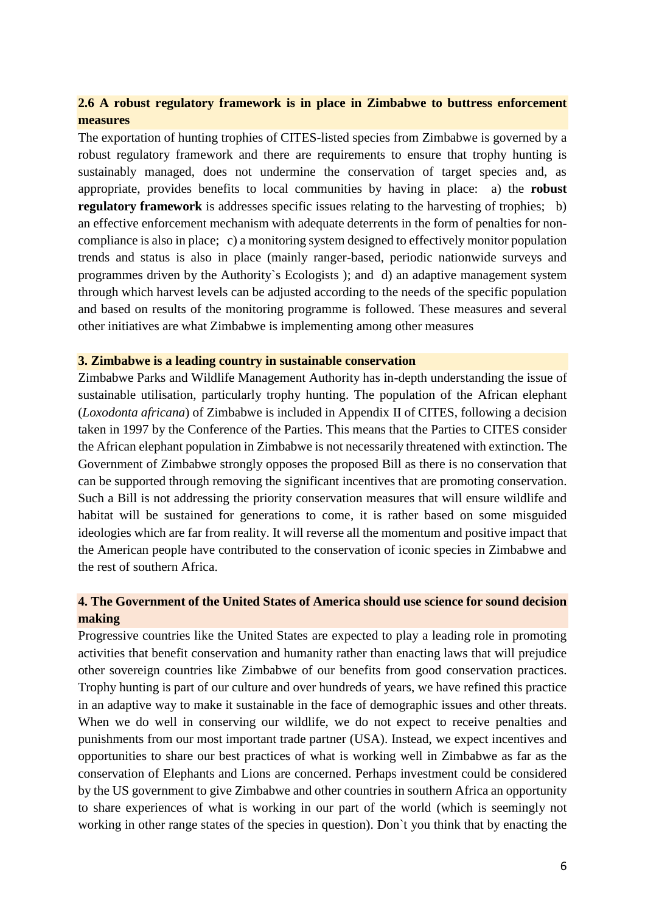## **2.6 A robust regulatory framework is in place in Zimbabwe to buttress enforcement measures**

The exportation of hunting trophies of CITES-listed species from Zimbabwe is governed by a robust regulatory framework and there are requirements to ensure that trophy hunting is sustainably managed, does not undermine the conservation of target species and, as appropriate, provides benefits to local communities by having in place: a) the **robust regulatory framework** is addresses specific issues relating to the harvesting of trophies; b) an effective enforcement mechanism with adequate deterrents in the form of penalties for noncompliance is also in place; c) a monitoring system designed to effectively monitor population trends and status is also in place (mainly ranger-based, periodic nationwide surveys and programmes driven by the Authority`s Ecologists ); and d) an adaptive management system through which harvest levels can be adjusted according to the needs of the specific population and based on results of the monitoring programme is followed. These measures and several other initiatives are what Zimbabwe is implementing among other measures

#### **3. Zimbabwe is a leading country in sustainable conservation**

Zimbabwe Parks and Wildlife Management Authority has in-depth understanding the issue of sustainable utilisation, particularly trophy hunting. The population of the African elephant (*Loxodonta africana*) of Zimbabwe is included in Appendix II of CITES, following a decision taken in 1997 by the Conference of the Parties. This means that the Parties to CITES consider the African elephant population in Zimbabwe is not necessarily threatened with extinction. The Government of Zimbabwe strongly opposes the proposed Bill as there is no conservation that can be supported through removing the significant incentives that are promoting conservation. Such a Bill is not addressing the priority conservation measures that will ensure wildlife and habitat will be sustained for generations to come, it is rather based on some misguided ideologies which are far from reality. It will reverse all the momentum and positive impact that the American people have contributed to the conservation of iconic species in Zimbabwe and the rest of southern Africa.

## **4. The Government of the United States of America should use science for sound decision making**

Progressive countries like the United States are expected to play a leading role in promoting activities that benefit conservation and humanity rather than enacting laws that will prejudice other sovereign countries like Zimbabwe of our benefits from good conservation practices. Trophy hunting is part of our culture and over hundreds of years, we have refined this practice in an adaptive way to make it sustainable in the face of demographic issues and other threats. When we do well in conserving our wildlife, we do not expect to receive penalties and punishments from our most important trade partner (USA). Instead, we expect incentives and opportunities to share our best practices of what is working well in Zimbabwe as far as the conservation of Elephants and Lions are concerned. Perhaps investment could be considered by the US government to give Zimbabwe and other countries in southern Africa an opportunity to share experiences of what is working in our part of the world (which is seemingly not working in other range states of the species in question). Don`t you think that by enacting the